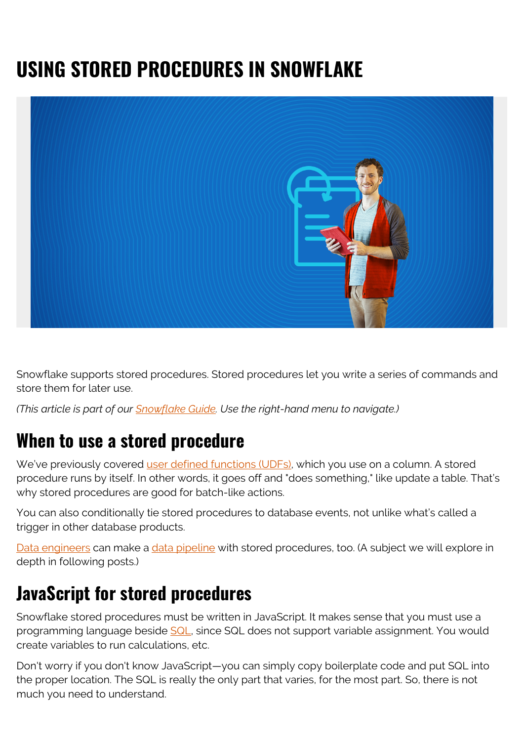# **USING STORED PROCEDURES IN SNOWFLAKE**



Snowflake supports stored procedures. Stored procedures let you write a series of commands and store them for later use.

*(This article is part of our [Snowflake Guide](https://blogs.bmc.com/blogs/import-data-s3-snowflake/). Use the right-hand menu to navigate.)*

#### **When to use a stored procedure**

We've previously covered [user defined functions \(UDFs\),](https://blogs.bmc.com/blogs/snowflake-user-defined-functions/) which you use on a column. A stored procedure runs by itself. In other words, it goes off and "does something," like update a table. That's why stored procedures are good for batch-like actions.

You can also conditionally tie stored procedures to database events, not unlike what's called a trigger in other database products.

[Data engineers](https://blogs.bmc.com/blogs/data-engineer-vs-data-scientist/) can make a [data pipeline](https://blogs.bmc.com/blogs/resilient-data-pipelines/) with stored procedures, too. (A subject we will explore in depth in following posts.)

#### **JavaScript for stored procedures**

Snowflake stored procedures must be written in JavaScript. It makes sense that you must use a programming language beside [SQL,](https://blogs.bmc.com/blogs/sql-vs-nosql/) since SQL does not support variable assignment. You would create variables to run calculations, etc.

Don't worry if you don't know JavaScript—you can simply copy boilerplate code and put SQL into the proper location. The SQL is really the only part that varies, for the most part. So, there is not much you need to understand.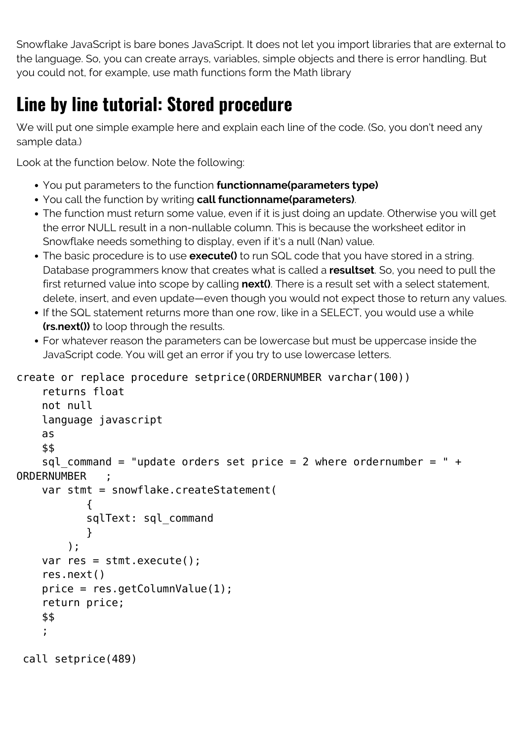Snowflake JavaScript is bare bones JavaScript. It does not let you import libraries that are external to the language. So, you can create arrays, variables, simple objects and there is error handling. But you could not, for example, use math functions form the Math library

### **Line by line tutorial: Stored procedure**

We will put one simple example here and explain each line of the code. (So, you don't need any sample data.)

Look at the function below. Note the following:

- You put parameters to the function **functionname(parameters type)**
- You call the function by writing **call functionname(parameters)**.
- The function must return some value, even if it is just doing an update. Otherwise you will get the error NULL result in a non-nullable column. This is because the worksheet editor in Snowflake needs something to display, even if it's a null (Nan) value.
- The basic procedure is to use **execute()** to run SQL code that you have stored in a string. Database programmers know that creates what is called a **resultset**. So, you need to pull the first returned value into scope by calling **next()**. There is a result set with a select statement, delete, insert, and even update—even though you would not expect those to return any values.
- If the SQL statement returns more than one row, like in a SELECT, you would use a while **(rs.next())** to loop through the results.
- For whatever reason the parameters can be lowercase but must be uppercase inside the JavaScript code. You will get an error if you try to use lowercase letters.

```
create or replace procedure setprice(ORDERNUMBER varchar(100))
```

```
 returns float
     not null
     language javascript
     as
     $$
    sql command = "update orders set price = 2 where ordernumber = " +
ORDERNUMBER ;
     var stmt = snowflake.createStatement(
\{ sqlText: sql_command
 }
         );
     var res = stmt.execute();
     res.next()
     price = res.getColumnValue(1);
     return price;
     $$
     ;
 call setprice(489)
```